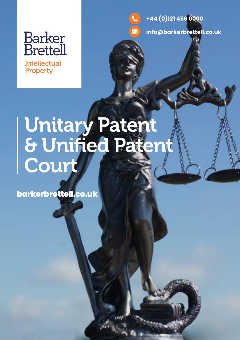

**Intellectual** Property

**+44 (0)121 456 0000**



# Unitary Patent & Unified Patent Court

**barkerbrettell.co.uk**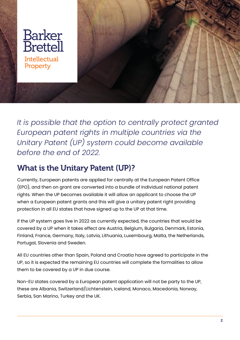

*It is possible that the option to centrally protect granted European patent rights in multiple countries via the Unitary Patent (UP) system could become available before the end of 2022.*

# What is the Unitary Patent (UP)?

Currently, European patents are applied for centrally at the European Patent Office (EPO), and then on grant are converted into a bundle of individual national patent rights. When the UP becomes available it will allow an applicant to choose the UP when a European patent grants and this will give a unitary patent right providing protection in all EU states that have signed up to the UP at that time.

If the UP system goes live in 2022 as currently expected, the countries that would be covered by a UP when it takes effect are Austria, Belgium, Bulgaria, Denmark, Estonia, Finland, France, Germany, Italy, Latvia, Lithuania, Luxembourg, Malta, the Netherlands, Portugal, Slovenia and Sweden.

All EU countries other than Spain, Poland and Croatia have agreed to participate in the UP, so it is expected the remaining EU countries will complete the formalities to allow them to be covered by a UP in due course.

Non-EU states covered by a European patent application will not be party to the UP, these are Albania, Switzerland/Lichtenstein, Iceland, Monaco, Macedonia, Norway, Serbia, San Marino, Turkey and the UK.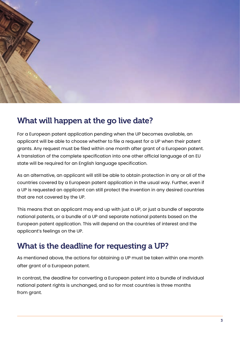

#### What will happen at the go live date?

For a European patent application pending when the UP becomes available, an applicant will be able to choose whether to file a request for a UP when their patent grants. Any request must be filed within one month after grant of a European patent. A translation of the complete specification into one other official language of an EU state will be required for an English language specification.

As an alternative, an applicant will still be able to obtain protection in any or all of the countries covered by a European patent application in the usual way. Further, even if a UP is requested an applicant can still protect the invention in any desired countries that are not covered by the UP.

This means that an applicant may end up with just a UP, or just a bundle of separate national patents, or a bundle of a UP and separate national patents based on the European patent application. This will depend on the countries of interest and the applicant's feelings on the UP.

## What is the deadline for requesting a UP?

As mentioned above, the actions for obtaining a UP must be taken within one month after grant of a European patent.

In contrast, the deadline for converting a European patent into a bundle of individual national patent rights is unchanged, and so for most countries is three months from grant.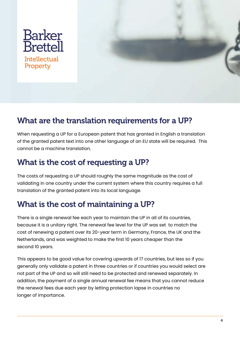

#### What are the translation requirements for a UP?

When requesting a UP for a European patent that has granted in English a translation of the granted patent text into one other language of an EU state will be required. This cannot be a machine translation.

### What is the cost of requesting a UP?

The costs of requesting a UP should roughly the same magnitude as the cost of validating in one country under the current system where this country requires a full translation of the granted patent into its local language.

## What is the cost of maintaining a UP?

There is a single renewal fee each year to maintain the UP in all of its countries, because it is a unitary right. The renewal fee level for the UP was set to match the cost of renewing a patent over its 20-year term in Germany, France, the UK and the Netherlands, and was weighted to make the first 10 years cheaper than the second 10 years.

This appears to be good value for covering upwards of 17 countries, but less so if you generally only validate a patent in three countries or if countries you would select are not part of the UP and so will still need to be protected and renewed separately. In addition, the payment of a single annual renewal fee means that you cannot reduce the renewal fees due each year by letting protection lapse in countries no longer of importance.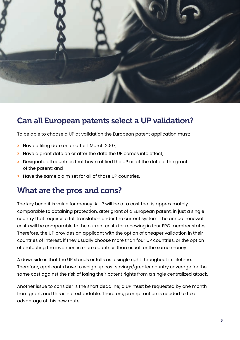

#### Can all European patents select a UP validation?

To be able to choose a UP at validation the European patent application must:

- **>** Have a filing date on or after 1 March 2007;
- **>** Have a grant date on or after the date the UP comes into effect;
- **>** Designate all countries that have ratified the UP as at the date of the grant of the patent; and
- **>** Have the same claim set for all of those UP countries.

#### What are the pros and cons?

The key benefit is value for money. A UP will be at a cost that is approximately comparable to obtaining protection, after grant of a European patent, in just a single country that requires a full translation under the current system. The annual renewal costs will be comparable to the current costs for renewing in four EPC member states. Therefore, the UP provides an applicant with the option of cheaper validation in their countries of interest, if they usually choose more than four UP countries, or the option of protecting the invention in more countries than usual for the same money.

A downside is that the UP stands or falls as a single right throughout its lifetime. Therefore, applicants have to weigh up cost savings/greater country coverage for the same cost against the risk of losing their patent rights from a single centralized attack.

Another issue to consider is the short deadline; a UP must be requested by one month from grant, and this is not extendable. Therefore, prompt action is needed to take advantage of this new route.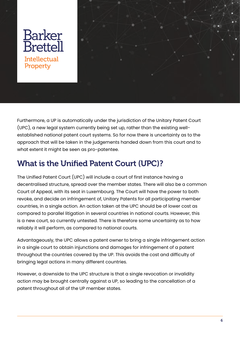

Furthermore, a UP is automatically under the jurisdiction of the Unitary Patent Court (UPC), a new legal system currently being set up, rather than the existing wellestablished national patent court systems. So for now there is uncertainty as to the approach that will be taken in the judgements handed down from this court and to what extent it might be seen as pro-patentee.

## What is the Unified Patent Court (UPC)?

The Unified Patent Court (UPC) will include a court of first instance having a decentralised structure, spread over the member states. There will also be a common Court of Appeal, with its seat in Luxembourg. The Court will have the power to both revoke, and decide on infringement of, Unitary Patents for all participating member countries, in a single action. An action taken at the UPC should be of lower cost as compared to parallel litigation in several countries in national courts. However, this is a new court, so currently untested. There is therefore some uncertainty as to how reliably it will perform, as compared to national courts.

Advantageously, the UPC allows a patent owner to bring a single infringement action in a single court to obtain injunctions and damages for infringement of a patent throughout the countries covered by the UP. This avoids the cost and difficulty of bringing legal actions in many different countries.

However, a downside to the UPC structure is that a single revocation or invalidity action may be brought centrally against a UP, so leading to the cancellation of a patent throughout all of the UP member states.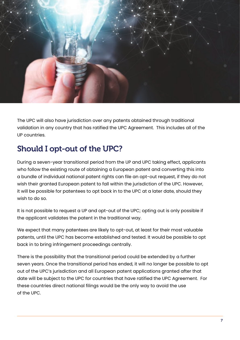

The UPC will also have jurisdiction over any patents obtained through traditional validation in any country that has ratified the UPC Agreement. This includes all of the UP countries.

## Should I opt-out of the UPC?

During a seven-year transitional period from the UP and UPC taking effect, applicants who follow the existing route of obtaining a European patent and converting this into a bundle of individual national patent rights can file an opt-out request, if they do not wish their granted European patent to fall within the jurisdiction of the UPC. However, it will be possible for patentees to opt back in to the UPC at a later date, should they wish to do so.

It is not possible to request a UP and opt-out of the UPC; opting out is only possible if the applicant validates the patent in the traditional way.

We expect that many patentees are likely to opt-out, at least for their most valuable patents, until the UPC has become established and tested. It would be possible to opt back in to bring infringement proceedings centrally.

There is the possibility that the transitional period could be extended by a further seven years. Once the transitional period has ended, it will no longer be possible to opt out of the UPC's jurisdiction and all European patent applications granted after that date will be subject to the UPC for countries that have ratified the UPC Agreement. For these countries direct national filings would be the only way to avoid the use of the UPC.